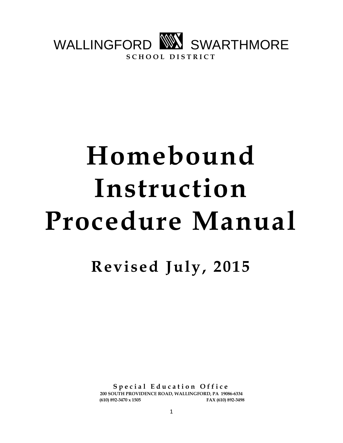

# **Homebound Instruction Procedure Manual**

**Revised July, 2015**

**S p e c i a l E d u c a t i o n O f f i c e 200 SOUTH PROVIDENCE ROAD, WALLINGFORD, PA 19086-6334 (610) 892-3470 x 1505 FAX (610) 892-3498**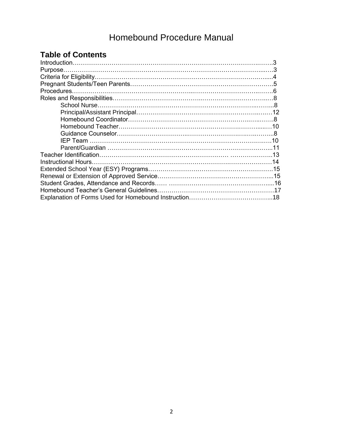# Homebound Procedure Manual

## **Table of Contents**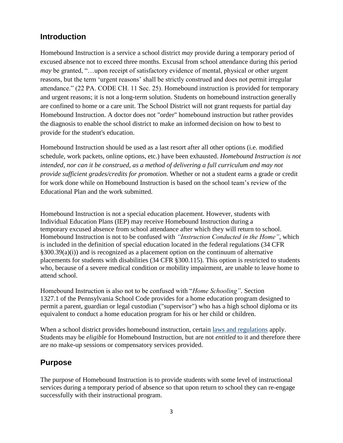## **Introduction**

Homebound Instruction is a service a school district *may* provide during a temporary period of excused absence not to exceed three months. Excusal from school attendance during this period *may* be granted, "...upon receipt of satisfactory evidence of mental, physical or other urgent reasons, but the term 'urgent reasons' shall be strictly construed and does not permit irregular attendance." (22 PA. CODE CH. 11 Sec. 25). Homebound instruction is provided for temporary and urgent reasons; it is not a long-term solution. Students on homebound instruction generally are confined to home or a care unit. The School District will not grant requests for partial day Homebound Instruction. A doctor does not "order" homebound instruction but rather provides the diagnosis to enable the school district to make an informed decision on how to best to provide for the student's education.

Homebound Instruction should be used as a last resort after all other options (i.e. modified schedule, work packets, online options, etc.) have been exhausted. *Homebound Instruction is not intended, nor can it be construed, as a method of delivering a full curriculum and may not provide sufficient grades/credits for promotion.* Whether or not a student earns a grade or credit for work done while on Homebound Instruction is based on the school team's review of the Educational Plan and the work submitted.

Homebound Instruction is not a special education placement. However, students with Individual Education Plans (IEP) may receive Homebound Instruction during a temporary excused absence from school attendance after which they will return to school. Homebound Instruction is not to be confused with *"Instruction Conducted in the Home"*, which is included in the definition of special education located in the federal regulations (34 CFR §300.39(a)(i)) and is recognized as a placement option on the continuum of alternative placements for students with disabilities (34 CFR §300.115). This option is restricted to students who, because of a severe medical condition or mobility impairment, are unable to leave home to attend school.

Homebound Instruction is also not to be confused with "*Home Schooling"*. Section 1327.1 of the Pennsylvania School Code provides for a home education program designed to permit a parent, guardian or legal custodian ("supervisor") who has a high school diploma or its equivalent to conduct a home education program for his or her child or children.

When a school district provides homebound instruction, certain [laws and regulations](http://www.portal.state.pa.us/portal/server.pt/community/homebound_instruction/20918/laws_and_regulations/1166427) apply. Students may be *eligible* for Homebound Instruction, but are not *entitled* to it and therefore there are no make-up sessions or compensatory services provided.

## **Purpose**

The purpose of Homebound Instruction is to provide students with some level of instructional services during a temporary period of absence so that upon return to school they can re-engage successfully with their instructional program.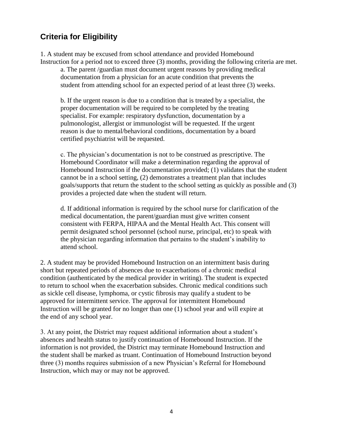## **Criteria for Eligibility**

1. A student may be excused from school attendance and provided Homebound Instruction for a period not to exceed three (3) months, providing the following criteria are met.

a. The parent /guardian must document urgent reasons by providing medical documentation from a physician for an acute condition that prevents the student from attending school for an expected period of at least three (3) weeks.

b. If the urgent reason is due to a condition that is treated by a specialist, the proper documentation will be required to be completed by the treating specialist. For example: respiratory dysfunction, documentation by a pulmonologist, allergist or immunologist will be requested. If the urgent reason is due to mental/behavioral conditions, documentation by a board certified psychiatrist will be requested.

c. The physician's documentation is not to be construed as prescriptive. The Homebound Coordinator will make a determination regarding the approval of Homebound Instruction if the documentation provided; (1) validates that the student cannot be in a school setting, (2) demonstrates a treatment plan that includes goals/supports that return the student to the school setting as quickly as possible and (3) provides a projected date when the student will return.

d. If additional information is required by the school nurse for clarification of the medical documentation, the parent/guardian must give written consent consistent with FERPA, HIPAA and the Mental Health Act. This consent will permit designated school personnel (school nurse, principal, etc) to speak with the physician regarding information that pertains to the student's inability to attend school.

2. A student may be provided Homebound Instruction on an intermittent basis during short but repeated periods of absences due to exacerbations of a chronic medical condition (authenticated by the medical provider in writing). The student is expected to return to school when the exacerbation subsides. Chronic medical conditions such as sickle cell disease, lymphoma, or cystic fibrosis may qualify a student to be approved for intermittent service. The approval for intermittent Homebound Instruction will be granted for no longer than one (1) school year and will expire at the end of any school year.

3. At any point, the District may request additional information about a student's absences and health status to justify continuation of Homebound Instruction. If the information is not provided, the District may terminate Homebound Instruction and the student shall be marked as truant. Continuation of Homebound Instruction beyond three (3) months requires submission of a new Physician's Referral for Homebound Instruction, which may or may not be approved.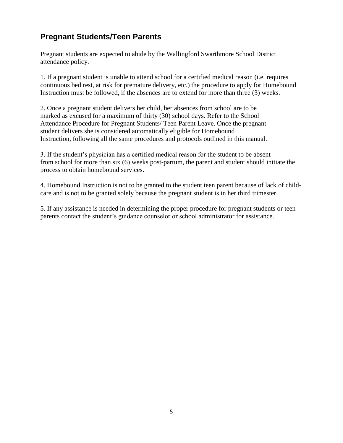## **Pregnant Students/Teen Parents**

Pregnant students are expected to abide by the Wallingford Swarthmore School District attendance policy.

1. If a pregnant student is unable to attend school for a certified medical reason (i.e. requires continuous bed rest, at risk for premature delivery, etc.) the procedure to apply for Homebound Instruction must be followed, if the absences are to extend for more than three (3) weeks.

2. Once a pregnant student delivers her child, her absences from school are to be marked as excused for a maximum of thirty (30) school days. Refer to the School Attendance Procedure for Pregnant Students/ Teen Parent Leave. Once the pregnant student delivers she is considered automatically eligible for Homebound Instruction, following all the same procedures and protocols outlined in this manual.

3. If the student's physician has a certified medical reason for the student to be absent from school for more than six (6) weeks post-partum, the parent and student should initiate the process to obtain homebound services.

4. Homebound Instruction is not to be granted to the student teen parent because of lack of childcare and is not to be granted solely because the pregnant student is in her third trimester.

5. If any assistance is needed in determining the proper procedure for pregnant students or teen parents contact the student's guidance counselor or school administrator for assistance.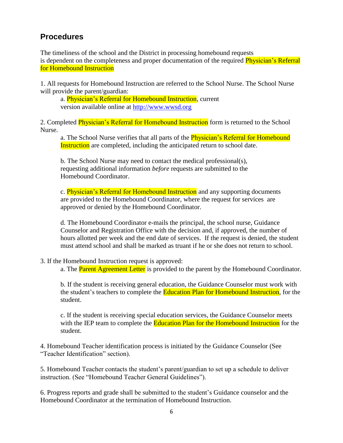## **Procedures**

The timeliness of the school and the District in processing homebound requests is dependent on the completeness and proper documentation of the required **Physician's Referral** for Homebound Instruction

1. All requests for Homebound Instruction are referred to the School Nurse. The School Nurse will provide the parent/guardian:

a. Physician's Referral for Homebound Instruction, current version available online at [http://www.wwsd.org](http://www.wwsd.org/)

2. Completed Physician's Referral for Homebound Instruction form is returned to the School Nurse.

a. The School Nurse verifies that all parts of the **Physician's Referral for Homebound** Instruction are completed, including the anticipated return to school date.

b. The School Nurse may need to contact the medical professional(s), requesting additional information *before* requests are submitted to the Homebound Coordinator.

c. **Physician's Referral for Homebound Instruction** and any supporting documents are provided to the Homebound Coordinator, where the request for services are approved or denied by the Homebound Coordinator.

d. The Homebound Coordinator e-mails the principal, the school nurse, Guidance Counselor and Registration Office with the decision and, if approved, the number of hours allotted per week and the end date of services. If the request is denied, the student must attend school and shall be marked as truant if he or she does not return to school.

#### 3. If the Homebound Instruction request is approved:

a. The **Parent Agreement Letter** is provided to the parent by the Homebound Coordinator.

b. If the student is receiving general education, the Guidance Counselor must work with the student's teachers to complete the **Education Plan for Homebound Instruction**, for the student.

c. If the student is receiving special education services, the Guidance Counselor meets with the IEP team to complete the Education Plan for the Homebound Instruction for the student.

4. Homebound Teacher identification process is initiated by the Guidance Counselor (See "Teacher Identification" section).

5. Homebound Teacher contacts the student's parent/guardian to set up a schedule to deliver instruction. (See "Homebound Teacher General Guidelines").

6. Progress reports and grade shall be submitted to the student's Guidance counselor and the Homebound Coordinator at the termination of Homebound Instruction.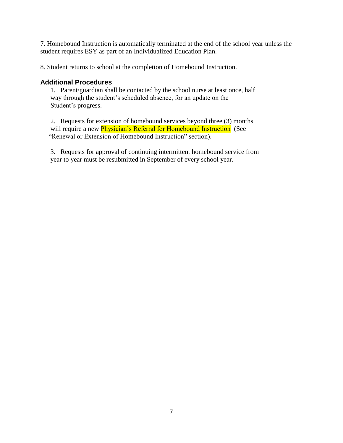7. Homebound Instruction is automatically terminated at the end of the school year unless the student requires ESY as part of an Individualized Education Plan.

8. Student returns to school at the completion of Homebound Instruction.

#### **Additional Procedures**

1. Parent/guardian shall be contacted by the school nurse at least once, half way through the student's scheduled absence, for an update on the Student's progress.

2. Requests for extension of homebound services beyond three (3) months will require a new *Physician's Referral for Homebound Instruction* (See "Renewal or Extension of Homebound Instruction" section).

3. Requests for approval of continuing intermittent homebound service from year to year must be resubmitted in September of every school year.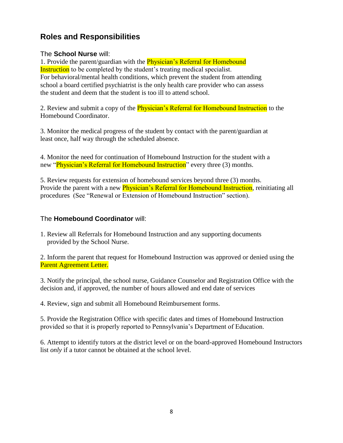## **Roles and Responsibilities**

#### The **School Nurse** will:

1. Provide the parent/guardian with the **Physician's Referral for Homebound** Instruction to be completed by the student's treating medical specialist. For behavioral/mental health conditions, which prevent the student from attending school a board certified psychiatrist is the only health care provider who can assess the student and deem that the student is too ill to attend school.

2. Review and submit a copy of the **Physician's Referral for Homebound Instruction** to the Homebound Coordinator.

3. Monitor the medical progress of the student by contact with the parent/guardian at least once, half way through the scheduled absence.

4. Monitor the need for continuation of Homebound Instruction for the student with a new "Physician's Referral for Homebound Instruction" every three (3) months.

5. Review requests for extension of homebound services beyond three (3) months. Provide the parent with a new **Physician's Referral for Homebound Instruction**, reinitiating all procedures (See "Renewal or Extension of Homebound Instruction" section).

#### The **Homebound Coordinator** will:

1. Review all Referrals for Homebound Instruction and any supporting documents provided by the School Nurse.

2. Inform the parent that request for Homebound Instruction was approved or denied using the Parent Agreement Letter.

3. Notify the principal, the school nurse, Guidance Counselor and Registration Office with the decision and, if approved, the number of hours allowed and end date of services

4. Review, sign and submit all Homebound Reimbursement forms.

5. Provide the Registration Office with specific dates and times of Homebound Instruction provided so that it is properly reported to Pennsylvania's Department of Education.

6. Attempt to identify tutors at the district level or on the board-approved Homebound Instructors list *only* if a tutor cannot be obtained at the school level.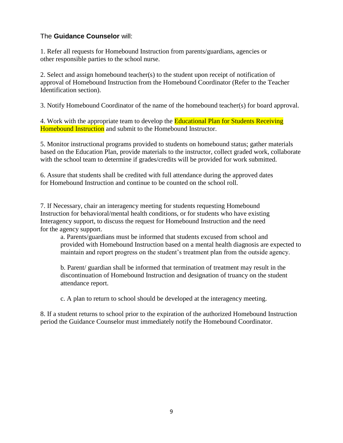#### The **Guidance Counselor** will:

1. Refer all requests for Homebound Instruction from parents/guardians, agencies or other responsible parties to the school nurse.

2. Select and assign homebound teacher(s) to the student upon receipt of notification of approval of Homebound Instruction from the Homebound Coordinator (Refer to the Teacher Identification section).

3. Notify Homebound Coordinator of the name of the homebound teacher(s) for board approval.

4. Work with the appropriate team to develop the **Educational Plan for Students Receiving** Homebound Instruction and submit to the Homebound Instructor.

5. Monitor instructional programs provided to students on homebound status; gather materials based on the Education Plan, provide materials to the instructor, collect graded work, collaborate with the school team to determine if grades/credits will be provided for work submitted.

6. Assure that students shall be credited with full attendance during the approved dates for Homebound Instruction and continue to be counted on the school roll.

7. If Necessary, chair an interagency meeting for students requesting Homebound Instruction for behavioral/mental health conditions, or for students who have existing Interagency support, to discuss the request for Homebound Instruction and the need for the agency support.

a. Parents/guardians must be informed that students excused from school and provided with Homebound Instruction based on a mental health diagnosis are expected to maintain and report progress on the student's treatment plan from the outside agency.

b. Parent/ guardian shall be informed that termination of treatment may result in the discontinuation of Homebound Instruction and designation of truancy on the student attendance report.

c. A plan to return to school should be developed at the interagency meeting.

8. If a student returns to school prior to the expiration of the authorized Homebound Instruction period the Guidance Counselor must immediately notify the Homebound Coordinator.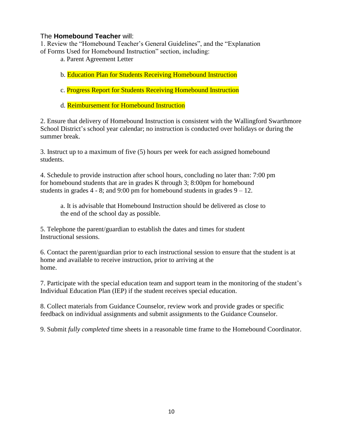#### The **Homebound Teacher** will:

1. Review the "Homebound Teacher's General Guidelines", and the "Explanation of Forms Used for Homebound Instruction" section, including:

- a. Parent Agreement Letter
- b. Education Plan for Students Receiving Homebound Instruction
- c. Progress Report for Students Receiving Homebound Instruction
- d. Reimbursement for Homebound Instruction

2. Ensure that delivery of Homebound Instruction is consistent with the Wallingford Swarthmore School District's school year calendar; no instruction is conducted over holidays or during the summer break.

3. Instruct up to a maximum of five (5) hours per week for each assigned homebound students.

4. Schedule to provide instruction after school hours, concluding no later than: 7:00 pm for homebound students that are in grades K through 3; 8:00pm for homebound students in grades  $4 - 8$ ; and  $9:00$  pm for homebound students in grades  $9 - 12$ .

a. It is advisable that Homebound Instruction should be delivered as close to the end of the school day as possible.

5. Telephone the parent/guardian to establish the dates and times for student Instructional sessions.

6. Contact the parent/guardian prior to each instructional session to ensure that the student is at home and available to receive instruction, prior to arriving at the home.

7. Participate with the special education team and support team in the monitoring of the student's Individual Education Plan (IEP) if the student receives special education.

8. Collect materials from Guidance Counselor, review work and provide grades or specific feedback on individual assignments and submit assignments to the Guidance Counselor.

9. Submit *fully completed* time sheets in a reasonable time frame to the Homebound Coordinator.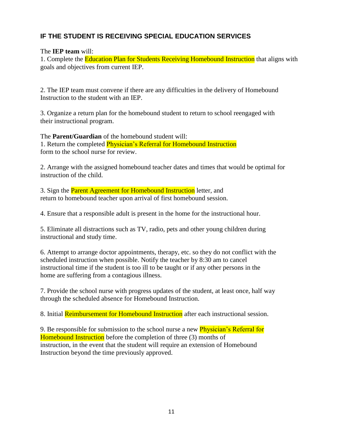#### **IF THE STUDENT IS RECEIVING SPECIAL EDUCATION SERVICES**

#### The **IEP team** will:

1. Complete the Education Plan for Students Receiving Homebound Instruction that aligns with goals and objectives from current IEP.

2. The IEP team must convene if there are any difficulties in the delivery of Homebound Instruction to the student with an IEP.

3. Organize a return plan for the homebound student to return to school reengaged with their instructional program.

The **Parent/Guardian** of the homebound student will: 1. Return the completed Physician's Referral for Homebound Instruction form to the school nurse for review.

2. Arrange with the assigned homebound teacher dates and times that would be optimal for instruction of the child.

3. Sign the **Parent Agreement for Homebound Instruction** letter, and return to homebound teacher upon arrival of first homebound session.

4. Ensure that a responsible adult is present in the home for the instructional hour.

5. Eliminate all distractions such as TV, radio, pets and other young children during instructional and study time.

6. Attempt to arrange doctor appointments, therapy, etc. so they do not conflict with the scheduled instruction when possible. Notify the teacher by 8:30 am to cancel instructional time if the student is too ill to be taught or if any other persons in the home are suffering from a contagious illness.

7. Provide the school nurse with progress updates of the student, at least once, half way through the scheduled absence for Homebound Instruction.

8. Initial Reimbursement for Homebound Instruction after each instructional session.

9. Be responsible for submission to the school nurse a new **Physician's Referral for** Homebound Instruction before the completion of three (3) months of instruction, in the event that the student will require an extension of Homebound Instruction beyond the time previously approved.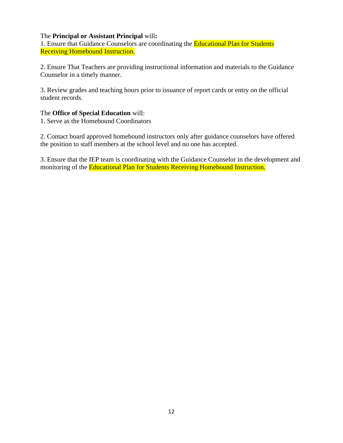#### The **Principal or Assistant Principal** will**:**

1. Ensure that Guidance Counselors are coordinating the Educational Plan for Students Receiving Homebound Instruction.

2. Ensure That Teachers are providing instructional information and materials to the Guidance Counselor in a timely manner.

3. Review grades and teaching hours prior to issuance of report cards or entry on the official student records.

#### The **Office of Special Education** will:

1. Serve as the Homebound Coordinators

2. Contact board approved homebound instructors only after guidance counselors have offered the position to staff members at the school level and no one has accepted.

3. Ensure that the IEP team is coordinating with the Guidance Counselor in the development and monitoring of the Educational Plan for Students Receiving Homebound Instruction.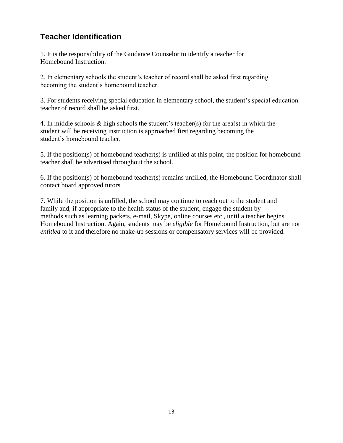## **Teacher Identification**

1. It is the responsibility of the Guidance Counselor to identify a teacher for Homebound Instruction.

2. In elementary schools the student's teacher of record shall be asked first regarding becoming the student's homebound teacher.

3. For students receiving special education in elementary school, the student's special education teacher of record shall be asked first.

4. In middle schools & high schools the student's teacher(s) for the area(s) in which the student will be receiving instruction is approached first regarding becoming the student's homebound teacher.

5. If the position(s) of homebound teacher(s) is unfilled at this point, the position for homebound teacher shall be advertised throughout the school.

6. If the position(s) of homebound teacher(s) remains unfilled, the Homebound Coordinator shall contact board approved tutors.

7. While the position is unfilled, the school may continue to reach out to the student and family and, if appropriate to the health status of the student, engage the student by methods such as learning packets, e-mail, Skype, online courses etc., until a teacher begins Homebound Instruction. Again, students may be *eligible* for Homebound Instruction, but are not *entitled* to it and therefore no make-up sessions or compensatory services will be provided.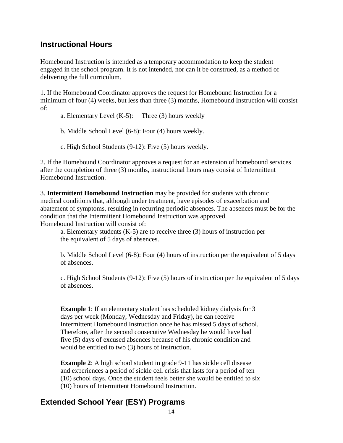## **Instructional Hours**

Homebound Instruction is intended as a temporary accommodation to keep the student engaged in the school program. It is not intended, nor can it be construed, as a method of delivering the full curriculum.

1. If the Homebound Coordinator approves the request for Homebound Instruction for a minimum of four (4) weeks, but less than three (3) months, Homebound Instruction will consist of:

a. Elementary Level  $(K-5)$ : Three  $(3)$  hours weekly

b. Middle School Level (6-8): Four (4) hours weekly.

c. High School Students (9-12): Five (5) hours weekly.

2. If the Homebound Coordinator approves a request for an extension of homebound services after the completion of three (3) months, instructional hours may consist of Intermittent Homebound Instruction.

3. **Intermittent Homebound Instruction** may be provided for students with chronic medical conditions that, although under treatment, have episodes of exacerbation and abatement of symptoms, resulting in recurring periodic absences. The absences must be for the condition that the Intermittent Homebound Instruction was approved. Homebound Instruction will consist of:

a. Elementary students (K-5) are to receive three (3) hours of instruction per the equivalent of 5 days of absences.

b. Middle School Level (6-8): Four (4) hours of instruction per the equivalent of 5 days of absences.

c. High School Students (9-12): Five (5) hours of instruction per the equivalent of 5 days of absences.

**Example 1:** If an elementary student has scheduled kidney dialysis for 3 days per week (Monday, Wednesday and Friday), he can receive Intermittent Homebound Instruction once he has missed 5 days of school. Therefore, after the second consecutive Wednesday he would have had five (5) days of excused absences because of his chronic condition and would be entitled to two (3) hours of instruction.

**Example 2:** A high school student in grade 9-11 has sickle cell disease and experiences a period of sickle cell crisis that lasts for a period of ten (10) school days. Once the student feels better she would be entitled to six (10) hours of Intermittent Homebound Instruction.

## **Extended School Year (ESY) Programs**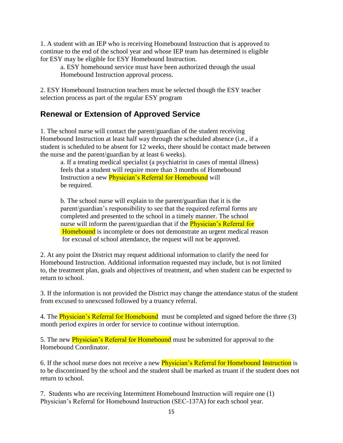1. A student with an IEP who is receiving Homebound Instruction that is approved to continue to the end of the school year and whose IEP team has determined is eligible for ESY may be eligible for ESY Homebound Instruction.

a. ESY homebound service must have been authorized through the usual Homebound Instruction approval process.

2. ESY Homebound Instruction teachers must be selected though the ESY teacher selection process as part of the regular ESY program

## **Renewal or Extension of Approved Service**

1. The school nurse will contact the parent/guardian of the student receiving Homebound Instruction at least half way through the scheduled absence (i.e., if a student is scheduled to be absent for 12 weeks, there should be contact made between the nurse and the parent/guardian by at least 6 weeks).

a. If a treating medical specialist (a psychiatrist in cases of mental illness) feels that a student will require more than 3 months of Homebound Instruction a new **Physician's Referral for Homebound** will be required.

b. The school nurse will explain to the parent/guardian that it is the parent/guardian's responsibility to see that the required referral forms are completed and presented to the school in a timely manner. The school nurse will inform the parent/guardian that if the **Physician's Referral for** Homebound is incomplete or does not demonstrate an urgent medical reason for excusal of school attendance, the request will not be approved.

2. At any point the District may request additional information to clarify the need for Homebound Instruction. Additional information requested may include, but is not limited to, the treatment plan, goals and objectives of treatment, and when student can be expected to return to school.

3. If the information is not provided the District may change the attendance status of the student from excused to unexcused followed by a truancy referral.

4. The **Physician's Referral for Homebound** must be completed and signed before the three (3) month period expires in order for service to continue without interruption.

5. The new **Physician's Referral for Homebound** must be submitted for approval to the Homebound Coordinator.

6. If the school nurse does not receive a new **Physician's Referral for Homebound Instruction** is to be discontinued by the school and the student shall be marked as truant if the student does not return to school.

7. Students who are receiving Intermittent Homebound Instruction will require one (1) Physician's Referral for Homebound Instruction (SEC-137A) for each school year.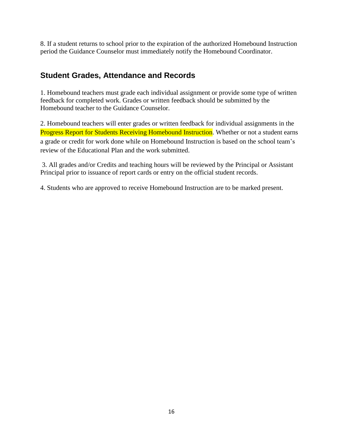8. If a student returns to school prior to the expiration of the authorized Homebound Instruction period the Guidance Counselor must immediately notify the Homebound Coordinator.

### **Student Grades, Attendance and Records**

1. Homebound teachers must grade each individual assignment or provide some type of written feedback for completed work. Grades or written feedback should be submitted by the Homebound teacher to the Guidance Counselor.

2. Homebound teachers will enter grades or written feedback for individual assignments in the Progress Report for Students Receiving Homebound Instruction. Whether or not a student earns a grade or credit for work done while on Homebound Instruction is based on the school team's review of the Educational Plan and the work submitted.

3. All grades and/or Credits and teaching hours will be reviewed by the Principal or Assistant Principal prior to issuance of report cards or entry on the official student records.

4. Students who are approved to receive Homebound Instruction are to be marked present.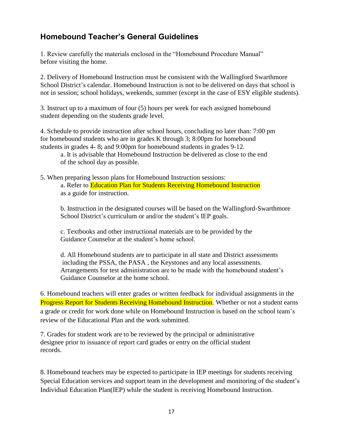## **Homebound Teacher's General Guidelines**

1. Review carefully the materials enclosed in the "Homebound Procedure Manual" before visiting the home.

2. Delivery of Homebound Instruction must be consistent with the Wallingford Swarthmore School District's calendar. Homebound Instruction is not to be delivered on days that school is not in session; school holidays, weekends, summer (except in the case of ESY eligible students).

3. Instruct up to a maximum of four (5) hours per week for each assigned homebound student depending on the students grade level.

4. Schedule to provide instruction after school hours, concluding no later than: 7:00 pm for homebound students who are in grades K through 3; 8:00pm for homebound students in grades 4- 8; and 9:00pm for homebound students in grades 9-12.

a. It is advisable that Homebound Instruction be delivered as close to the end of the school day as possible.

5. When preparing lesson plans for Homebound Instruction sessions: a. Refer to Education Plan for Students Receiving Homebound Instruction as a guide for instruction.

b. Instruction in the designated courses will be based on the Wallingford-Swarthmore School District's curriculum or and/or the student's IEP goals.

c. Textbooks and other instructional materials are to be provided by the Guidance Counselor at the student's home school.

d. All Homebound students are to participate in all state and District assessments including the PSSA, the PASA , the Keystones and any local assessments. Arrangements for test administration are to be made with the homebound student's Guidance Counselor at the home school.

6. Homebound teachers will enter grades or written feedback for individual assignments in the Progress Report for Students Receiving Homebound Instruction. Whether or not a student earns a grade or credit for work done while on Homebound Instruction is based on the school team's review of the Educational Plan and the work submitted.

7. Grades for student work are to be reviewed by the principal or administrative designee prior to issuance of report card grades or entry on the official student records.

8. Homebound teachers may be expected to participate in IEP meetings for students receiving Special Education services and support team in the development and monitoring of the student's Individual Education Plan(IEP) while the student is receiving Homebound Instruction.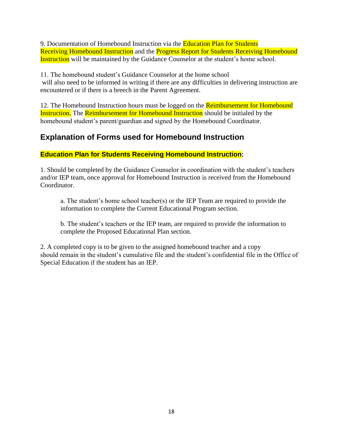9. Documentation of Homebound Instruction via the Education Plan for Students Receiving Homebound Instruction and the Progress Report for Students Receiving Homebound Instruction will be maintained by the Guidance Counselor at the student's home school.

11. The homebound student's Guidance Counselor at the home school will also need to be informed in writing if there are any difficulties in delivering instruction are encountered or if there is a breech in the Parent Agreement.

12. The Homebound Instruction hours must be logged on the **Reimbursement for Homebound** Instruction. The Reimbursement for Homebound Instruction should be initialed by the homebound student's parent/guardian and signed by the Homebound Coordinator.

## **Explanation of Forms used for Homebound Instruction**

#### **Education Plan for Students Receiving Homebound Instruction:**

1. Should be completed by the Guidance Counselor in coordination with the student's teachers and/or IEP team, once approval for Homebound Instruction is received from the Homebound Coordinator.

a. The student's home school teacher(s) or the IEP Team are required to provide the information to complete the Current Educational Program section.

b. The student's teachers or the IEP team, are required to provide the information to complete the Proposed Educational Plan section.

2. A completed copy is to be given to the assigned homebound teacher and a copy should remain in the student's cumulative file and the student's confidential file in the Office of Special Education if the student has an IEP.